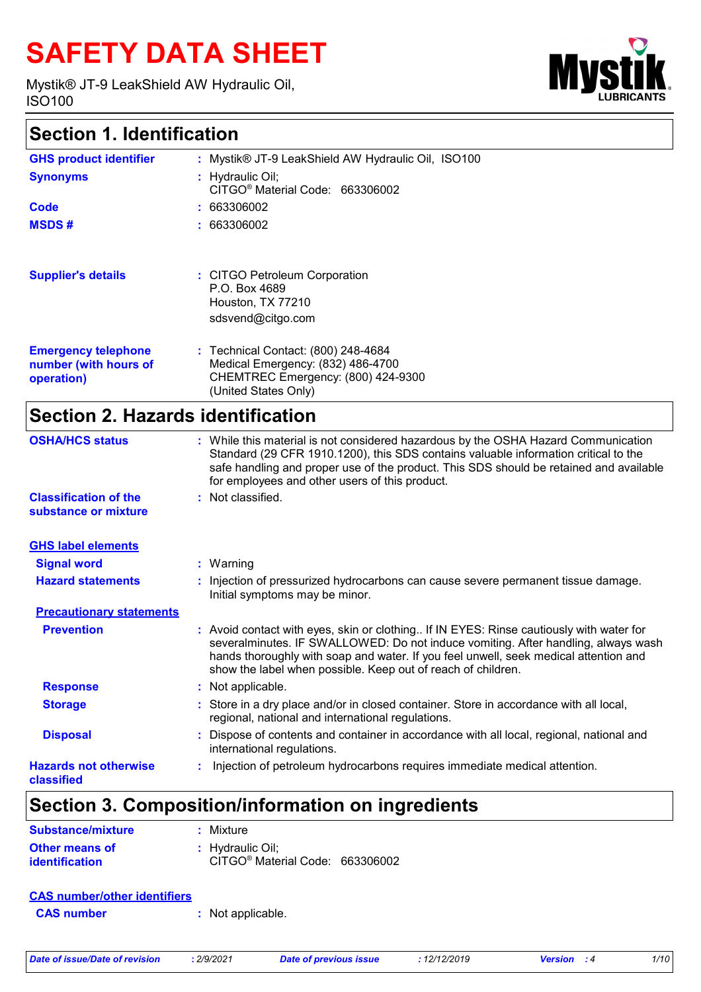# **SAFETY DATA SHEET**

Mystik® JT-9 LeakShield AW Hydraulic Oil, ISO100



# **Section 1. Identification**

| <b>GHS product identifier</b>                                     | : Mystik® JT-9 LeakShield AW Hydraulic Oil, ISO100                                                                                     |
|-------------------------------------------------------------------|----------------------------------------------------------------------------------------------------------------------------------------|
| <b>Synonyms</b>                                                   | : Hydraulic Oil;<br>CITGO <sup>®</sup> Material Code: 663306002                                                                        |
| Code                                                              | : 663306002                                                                                                                            |
| <b>MSDS#</b>                                                      | : 663306002                                                                                                                            |
| <b>Supplier's details</b>                                         | : CITGO Petroleum Corporation<br>P.O. Box 4689<br>Houston, TX 77210<br>sdsvend@citgo.com                                               |
| <b>Emergency telephone</b><br>number (with hours of<br>operation) | : Technical Contact: (800) 248-4684<br>Medical Emergency: (832) 486-4700<br>CHEMTREC Emergency: (800) 424-9300<br>(United States Only) |

# **Section 2. Hazards identification**

| <b>OSHA/HCS status</b>                     | : While this material is not considered hazardous by the OSHA Hazard Communication<br>Standard (29 CFR 1910.1200), this SDS contains valuable information critical to the<br>safe handling and proper use of the product. This SDS should be retained and available<br>for employees and other users of this product.                |
|--------------------------------------------|--------------------------------------------------------------------------------------------------------------------------------------------------------------------------------------------------------------------------------------------------------------------------------------------------------------------------------------|
| <b>Classification of the</b>               | : Not classified.                                                                                                                                                                                                                                                                                                                    |
| substance or mixture                       |                                                                                                                                                                                                                                                                                                                                      |
| <b>GHS label elements</b>                  |                                                                                                                                                                                                                                                                                                                                      |
| <b>Signal word</b>                         | $:$ Warning                                                                                                                                                                                                                                                                                                                          |
| <b>Hazard statements</b>                   | : Injection of pressurized hydrocarbons can cause severe permanent tissue damage.<br>Initial symptoms may be minor.                                                                                                                                                                                                                  |
| <b>Precautionary statements</b>            |                                                                                                                                                                                                                                                                                                                                      |
| <b>Prevention</b>                          | : Avoid contact with eyes, skin or clothing If IN EYES: Rinse cautiously with water for<br>severalminutes. IF SWALLOWED: Do not induce vomiting. After handling, always wash<br>hands thoroughly with soap and water. If you feel unwell, seek medical attention and<br>show the label when possible. Keep out of reach of children. |
| <b>Response</b>                            | : Not applicable.                                                                                                                                                                                                                                                                                                                    |
| <b>Storage</b>                             | : Store in a dry place and/or in closed container. Store in accordance with all local,<br>regional, national and international regulations.                                                                                                                                                                                          |
| <b>Disposal</b>                            | Dispose of contents and container in accordance with all local, regional, national and<br>international regulations.                                                                                                                                                                                                                 |
| <b>Hazards not otherwise</b><br>classified | Injection of petroleum hydrocarbons requires immediate medical attention.                                                                                                                                                                                                                                                            |

# **Section 3. Composition/information on ingredients**

| Substance/mixture                       | : Mixture                                                       |  |
|-----------------------------------------|-----------------------------------------------------------------|--|
| Other means of<br><i>identification</i> | : Hydraulic Oil:<br>CITGO <sup>®</sup> Material Code: 663306002 |  |

#### **CAS number/other identifiers**

**CAS number :** Not applicable.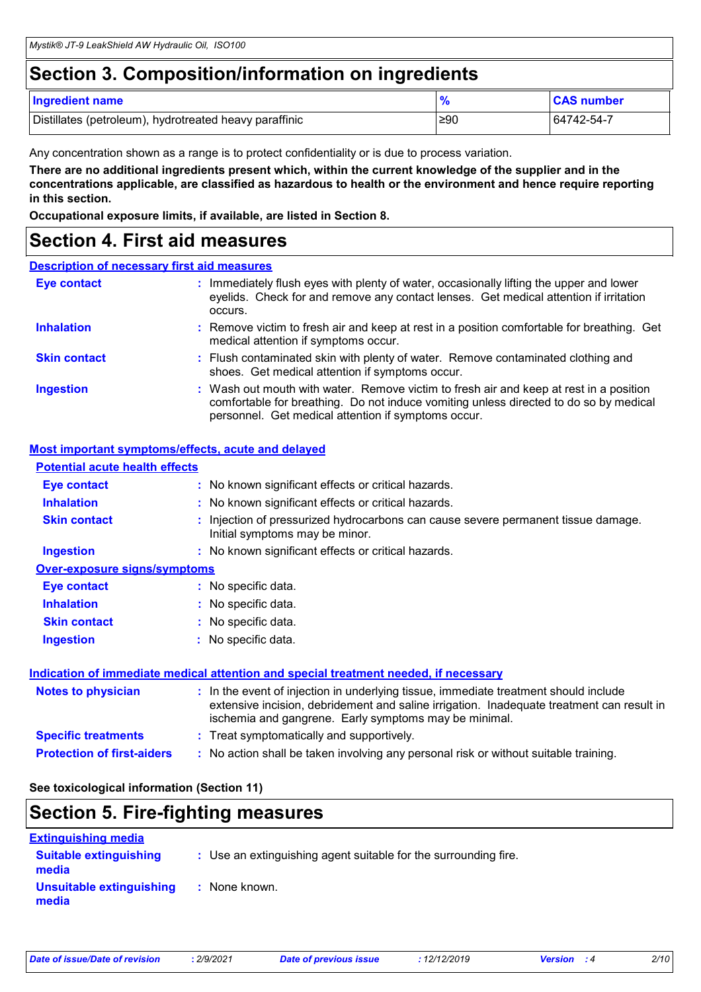# **Section 3. Composition/information on ingredients**

| <b>Ingredient name</b>                                 |     | <b>CAS number</b> |
|--------------------------------------------------------|-----|-------------------|
| Distillates (petroleum), hydrotreated heavy paraffinic | ≥90 | 64742-54-7        |

Any concentration shown as a range is to protect confidentiality or is due to process variation.

**There are no additional ingredients present which, within the current knowledge of the supplier and in the concentrations applicable, are classified as hazardous to health or the environment and hence require reporting in this section.**

**Occupational exposure limits, if available, are listed in Section 8.**

### **Section 4. First aid measures**

#### **Description of necessary first aid measures**

| <b>Eye contact</b>  | : Immediately flush eyes with plenty of water, occasionally lifting the upper and lower<br>eyelids. Check for and remove any contact lenses. Get medical attention if irritation<br>occurs.                                            |
|---------------------|----------------------------------------------------------------------------------------------------------------------------------------------------------------------------------------------------------------------------------------|
| <b>Inhalation</b>   | : Remove victim to fresh air and keep at rest in a position comfortable for breathing. Get<br>medical attention if symptoms occur.                                                                                                     |
| <b>Skin contact</b> | : Flush contaminated skin with plenty of water. Remove contaminated clothing and<br>shoes. Get medical attention if symptoms occur.                                                                                                    |
| <b>Ingestion</b>    | : Wash out mouth with water. Remove victim to fresh air and keep at rest in a position<br>comfortable for breathing. Do not induce vomiting unless directed to do so by medical<br>personnel. Get medical attention if symptoms occur. |

#### **Most important symptoms/effects, acute and delayed**

| <b>Potential acute health effects</b> |                                                                                                                                                                                                                                            |
|---------------------------------------|--------------------------------------------------------------------------------------------------------------------------------------------------------------------------------------------------------------------------------------------|
| <b>Eye contact</b>                    | : No known significant effects or critical hazards.                                                                                                                                                                                        |
| <b>Inhalation</b>                     | : No known significant effects or critical hazards.                                                                                                                                                                                        |
| <b>Skin contact</b>                   | : Injection of pressurized hydrocarbons can cause severe permanent tissue damage.<br>Initial symptoms may be minor.                                                                                                                        |
| <b>Ingestion</b>                      | : No known significant effects or critical hazards.                                                                                                                                                                                        |
| Over-exposure signs/symptoms          |                                                                                                                                                                                                                                            |
| <b>Eye contact</b>                    | : No specific data.                                                                                                                                                                                                                        |
| <b>Inhalation</b>                     | : No specific data.                                                                                                                                                                                                                        |
| <b>Skin contact</b>                   | : No specific data.                                                                                                                                                                                                                        |
| <b>Ingestion</b>                      | : No specific data.                                                                                                                                                                                                                        |
|                                       | <u>Indication of immediate medical attention and special treatment needed, if necessary</u>                                                                                                                                                |
| <b>Notes to physician</b>             | : In the event of injection in underlying tissue, immediate treatment should include<br>extensive incision, debridement and saline irrigation. Inadequate treatment can result in<br>ischemia and gangrene. Early symptoms may be minimal. |
| <b>Specific treatments</b>            | : Treat symptomatically and supportively.                                                                                                                                                                                                  |
| <b>Protection of first-aiders</b>     | : No action shall be taken involving any personal risk or without suitable training.                                                                                                                                                       |

#### **See toxicological information (Section 11)**

### **Section 5. Fire-fighting measures**

| <b>Extinguishing media</b>             |                                                                 |
|----------------------------------------|-----------------------------------------------------------------|
| <b>Suitable extinguishing</b><br>media | : Use an extinguishing agent suitable for the surrounding fire. |
| Unsuitable extinguishing<br>media      | : None known.                                                   |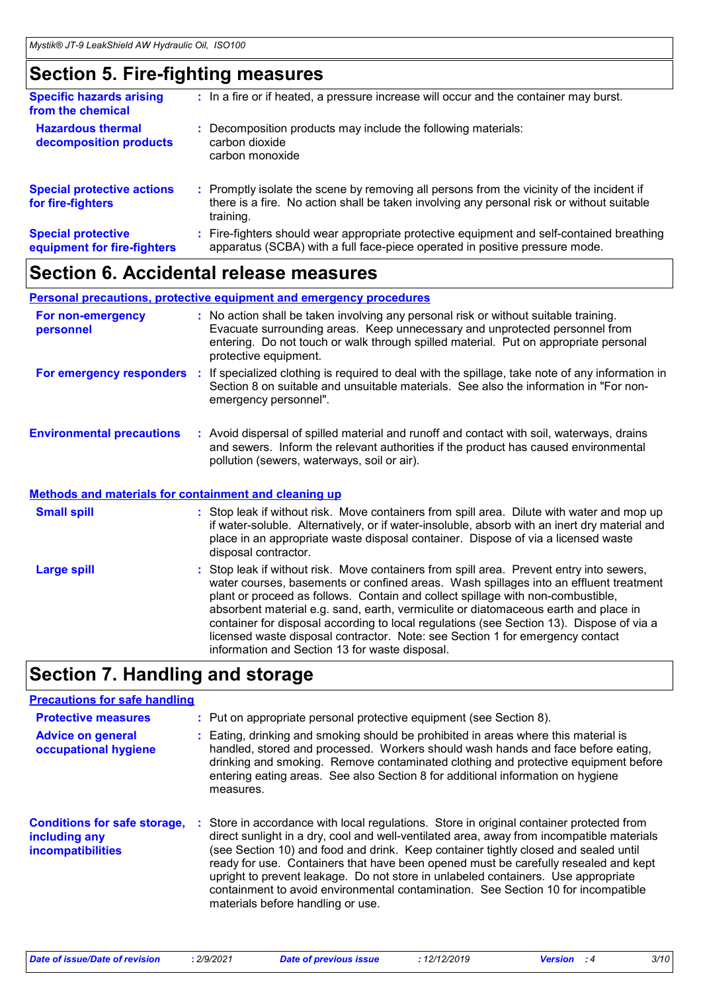### **Section 5. Fire-fighting measures**

| <b>Specific hazards arising</b><br>from the chemical     | : In a fire or if heated, a pressure increase will occur and the container may burst.                                                                                                               |
|----------------------------------------------------------|-----------------------------------------------------------------------------------------------------------------------------------------------------------------------------------------------------|
| <b>Hazardous thermal</b><br>decomposition products       | Decomposition products may include the following materials:<br>carbon dioxide<br>carbon monoxide                                                                                                    |
| <b>Special protective actions</b><br>for fire-fighters   | : Promptly isolate the scene by removing all persons from the vicinity of the incident if<br>there is a fire. No action shall be taken involving any personal risk or without suitable<br>training. |
| <b>Special protective</b><br>equipment for fire-fighters | Fire-fighters should wear appropriate protective equipment and self-contained breathing<br>apparatus (SCBA) with a full face-piece operated in positive pressure mode.                              |

### **Section 6. Accidental release measures**

**Personal precautions, protective equipment and emergency procedures**

| For non-emergency<br>personnel                               |    | : No action shall be taken involving any personal risk or without suitable training.<br>Evacuate surrounding areas. Keep unnecessary and unprotected personnel from<br>entering. Do not touch or walk through spilled material. Put on appropriate personal<br>protective equipment.                     |
|--------------------------------------------------------------|----|----------------------------------------------------------------------------------------------------------------------------------------------------------------------------------------------------------------------------------------------------------------------------------------------------------|
| For emergency responders                                     | п. | If specialized clothing is required to deal with the spillage, take note of any information in<br>Section 8 on suitable and unsuitable materials. See also the information in "For non-<br>emergency personnel".                                                                                         |
| <b>Environmental precautions</b>                             |    | : Avoid dispersal of spilled material and runoff and contact with soil, waterways, drains<br>and sewers. Inform the relevant authorities if the product has caused environmental<br>pollution (sewers, waterways, soil or air).                                                                          |
| <b>Methods and materials for containment and cleaning up</b> |    |                                                                                                                                                                                                                                                                                                          |
| <b>Small spill</b>                                           |    | : Stop leak if without risk. Move containers from spill area. Dilute with water and mop up<br>if water-soluble. Alternatively, or if water-insoluble, absorb with an inert dry material and<br>place in an appropriate waste disposal container. Dispose of via a licensed waste<br>disposal contractor. |
| <b>Large spill</b>                                           |    | : Stop leak if without risk. Move containers from spill area. Prevent entry into sewers,<br>water courses, basements or confined areas. Wash spillages into an effluent treatment                                                                                                                        |

plant or proceed as follows. Contain and collect spillage with non-combustible, absorbent material e.g. sand, earth, vermiculite or diatomaceous earth and place in container for disposal according to local regulations (see Section 13). Dispose of via a licensed waste disposal contractor. Note: see Section 1 for emergency contact information and Section 13 for waste disposal.

### **Section 7. Handling and storage**

| <b>Precautions for safe handling</b>                                             |                                                                                                                                                                                                                                                                                                                                                                                                                                                                                                                                                                                  |
|----------------------------------------------------------------------------------|----------------------------------------------------------------------------------------------------------------------------------------------------------------------------------------------------------------------------------------------------------------------------------------------------------------------------------------------------------------------------------------------------------------------------------------------------------------------------------------------------------------------------------------------------------------------------------|
| <b>Protective measures</b>                                                       | : Put on appropriate personal protective equipment (see Section 8).                                                                                                                                                                                                                                                                                                                                                                                                                                                                                                              |
| <b>Advice on general</b><br>occupational hygiene                                 | : Eating, drinking and smoking should be prohibited in areas where this material is<br>handled, stored and processed. Workers should wash hands and face before eating,<br>drinking and smoking. Remove contaminated clothing and protective equipment before<br>entering eating areas. See also Section 8 for additional information on hygiene<br>measures.                                                                                                                                                                                                                    |
| <b>Conditions for safe storage,</b><br>including any<br><b>incompatibilities</b> | Store in accordance with local regulations. Store in original container protected from<br>direct sunlight in a dry, cool and well-ventilated area, away from incompatible materials<br>(see Section 10) and food and drink. Keep container tightly closed and sealed until<br>ready for use. Containers that have been opened must be carefully resealed and kept<br>upright to prevent leakage. Do not store in unlabeled containers. Use appropriate<br>containment to avoid environmental contamination. See Section 10 for incompatible<br>materials before handling or use. |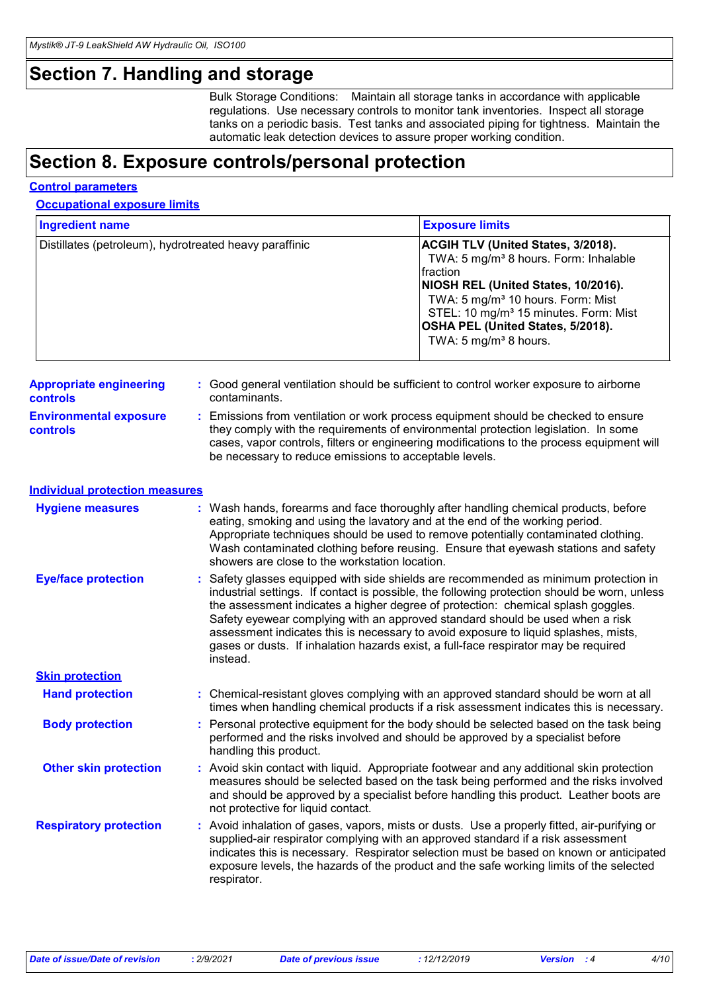### **Section 7. Handling and storage**

Bulk Storage Conditions: Maintain all storage tanks in accordance with applicable regulations. Use necessary controls to monitor tank inventories. Inspect all storage tanks on a periodic basis. Test tanks and associated piping for tightness. Maintain the automatic leak detection devices to assure proper working condition.

### **Section 8. Exposure controls/personal protection**

#### **Control parameters**

**Occupational exposure limits**

| <b>Ingredient name</b>                                 |                                                | <b>Exposure limits</b>                                                                                                                                                                                                                                                                                                                                                                                                                                                                                                                  |
|--------------------------------------------------------|------------------------------------------------|-----------------------------------------------------------------------------------------------------------------------------------------------------------------------------------------------------------------------------------------------------------------------------------------------------------------------------------------------------------------------------------------------------------------------------------------------------------------------------------------------------------------------------------------|
| Distillates (petroleum), hydrotreated heavy paraffinic |                                                | ACGIH TLV (United States, 3/2018).<br>TWA: 5 mg/m <sup>3</sup> 8 hours. Form: Inhalable<br>fraction<br>NIOSH REL (United States, 10/2016).<br>TWA: 5 mg/m <sup>3</sup> 10 hours. Form: Mist<br>STEL: 10 mg/m <sup>3</sup> 15 minutes. Form: Mist<br>OSHA PEL (United States, 5/2018).<br>TWA: 5 mg/m <sup>3</sup> 8 hours.                                                                                                                                                                                                              |
| <b>Appropriate engineering</b><br>controls             | contaminants.                                  | : Good general ventilation should be sufficient to control worker exposure to airborne                                                                                                                                                                                                                                                                                                                                                                                                                                                  |
| <b>Environmental exposure</b><br>controls              |                                                | : Emissions from ventilation or work process equipment should be checked to ensure<br>they comply with the requirements of environmental protection legislation. In some<br>cases, vapor controls, filters or engineering modifications to the process equipment will<br>be necessary to reduce emissions to acceptable levels.                                                                                                                                                                                                         |
| <b>Individual protection measures</b>                  |                                                |                                                                                                                                                                                                                                                                                                                                                                                                                                                                                                                                         |
| <b>Hygiene measures</b>                                | showers are close to the workstation location. | : Wash hands, forearms and face thoroughly after handling chemical products, before<br>eating, smoking and using the lavatory and at the end of the working period.<br>Appropriate techniques should be used to remove potentially contaminated clothing.<br>Wash contaminated clothing before reusing. Ensure that eyewash stations and safety                                                                                                                                                                                         |
| <b>Eye/face protection</b>                             | instead.                                       | : Safety glasses equipped with side shields are recommended as minimum protection in<br>industrial settings. If contact is possible, the following protection should be worn, unless<br>the assessment indicates a higher degree of protection: chemical splash goggles.<br>Safety eyewear complying with an approved standard should be used when a risk<br>assessment indicates this is necessary to avoid exposure to liquid splashes, mists,<br>gases or dusts. If inhalation hazards exist, a full-face respirator may be required |
| <b>Skin protection</b>                                 |                                                |                                                                                                                                                                                                                                                                                                                                                                                                                                                                                                                                         |
| <b>Hand protection</b>                                 |                                                | : Chemical-resistant gloves complying with an approved standard should be worn at all<br>times when handling chemical products if a risk assessment indicates this is necessary.                                                                                                                                                                                                                                                                                                                                                        |
| <b>Body protection</b>                                 | handling this product.                         | : Personal protective equipment for the body should be selected based on the task being<br>performed and the risks involved and should be approved by a specialist before                                                                                                                                                                                                                                                                                                                                                               |
| <b>Other skin protection</b>                           | not protective for liquid contact.             | : Avoid skin contact with liquid. Appropriate footwear and any additional skin protection<br>measures should be selected based on the task being performed and the risks involved<br>and should be approved by a specialist before handling this product. Leather boots are                                                                                                                                                                                                                                                             |
| <b>Respiratory protection</b>                          | respirator.                                    | : Avoid inhalation of gases, vapors, mists or dusts. Use a properly fitted, air-purifying or<br>supplied-air respirator complying with an approved standard if a risk assessment<br>indicates this is necessary. Respirator selection must be based on known or anticipated<br>exposure levels, the hazards of the product and the safe working limits of the selected                                                                                                                                                                  |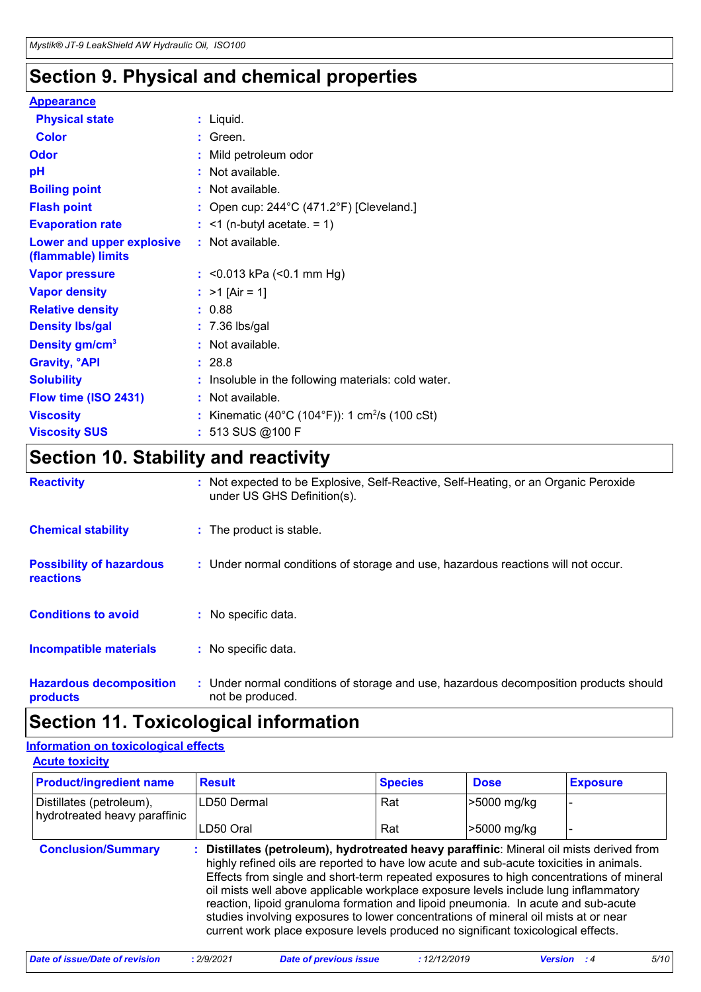# **Section 9. Physical and chemical properties**

### **Appearance**

| <b>Physical state</b>                           | : Liquid.                                                  |  |
|-------------------------------------------------|------------------------------------------------------------|--|
| <b>Color</b>                                    | $:$ Green.                                                 |  |
| <b>Odor</b>                                     | : Mild petroleum odor                                      |  |
| pH                                              | : Not available.                                           |  |
| <b>Boiling point</b>                            | : Not available.                                           |  |
| <b>Flash point</b>                              | : Open cup: $244^{\circ}$ C (471.2°F) [Cleveland.]         |  |
| <b>Evaporation rate</b>                         | $:$ <1 (n-butyl acetate. = 1)                              |  |
| Lower and upper explosive<br>(flammable) limits | : Not available.                                           |  |
| <b>Vapor pressure</b>                           | : $<$ 0.013 kPa ( $<$ 0.1 mm Hg)                           |  |
| <b>Vapor density</b>                            | : $>1$ [Air = 1]                                           |  |
| <b>Relative density</b>                         | : 0.88                                                     |  |
| <b>Density Ibs/gal</b>                          | $: 7.36$ lbs/gal                                           |  |
| Density gm/cm <sup>3</sup>                      | : Not available.                                           |  |
| <b>Gravity, <sup>o</sup>API</b>                 | : 28.8                                                     |  |
| <b>Solubility</b>                               | : Insoluble in the following materials: cold water.        |  |
| Flow time (ISO 2431)                            | : Not available.                                           |  |
| <b>Viscosity</b>                                | : Kinematic (40°C (104°F)): 1 cm <sup>2</sup> /s (100 cSt) |  |
| <b>Viscosity SUS</b>                            | : 513 SUS @100 F                                           |  |

# **Section 10. Stability and reactivity**

| <b>Reactivity</b>                            | : Not expected to be Explosive, Self-Reactive, Self-Heating, or an Organic Peroxide<br>under US GHS Definition(s). |
|----------------------------------------------|--------------------------------------------------------------------------------------------------------------------|
| <b>Chemical stability</b>                    | : The product is stable.                                                                                           |
| <b>Possibility of hazardous</b><br>reactions | : Under normal conditions of storage and use, hazardous reactions will not occur.                                  |
| <b>Conditions to avoid</b>                   | : No specific data.                                                                                                |
| Incompatible materials                       | : No specific data.                                                                                                |
| <b>Hazardous decomposition</b><br>products   | : Under normal conditions of storage and use, hazardous decomposition products should<br>not be produced.          |

# **Section 11. Toxicological information**

#### **Acute toxicity Information on toxicological effects**

| ----------------                      |  |                |             |                 |  |
|---------------------------------------|--|----------------|-------------|-----------------|--|
| <b>Product/ingredient name Result</b> |  | <b>Species</b> | <b>Dose</b> | <b>Exposure</b> |  |

| Distillates (petroleum),<br>hydrotreated heavy paraffinic | LD50 Dermal                                                                                                                                                                                                                                                                                                                                                                                                                                                                                                                                                                                                                            | Rat | >5000 mg/kg |  |  |  |
|-----------------------------------------------------------|----------------------------------------------------------------------------------------------------------------------------------------------------------------------------------------------------------------------------------------------------------------------------------------------------------------------------------------------------------------------------------------------------------------------------------------------------------------------------------------------------------------------------------------------------------------------------------------------------------------------------------------|-----|-------------|--|--|--|
|                                                           | LD50 Oral                                                                                                                                                                                                                                                                                                                                                                                                                                                                                                                                                                                                                              | Rat | >5000 mg/kg |  |  |  |
| <b>Conclusion/Summary</b>                                 | : Distillates (petroleum), hydrotreated heavy paraffinic: Mineral oil mists derived from<br>highly refined oils are reported to have low acute and sub-acute toxicities in animals.<br>Effects from single and short-term repeated exposures to high concentrations of mineral<br>oil mists well above applicable workplace exposure levels include lung inflammatory<br>reaction, lipoid granuloma formation and lipoid pneumonia. In acute and sub-acute<br>studies involving exposures to lower concentrations of mineral oil mists at or near<br>current work place exposure levels produced no significant toxicological effects. |     |             |  |  |  |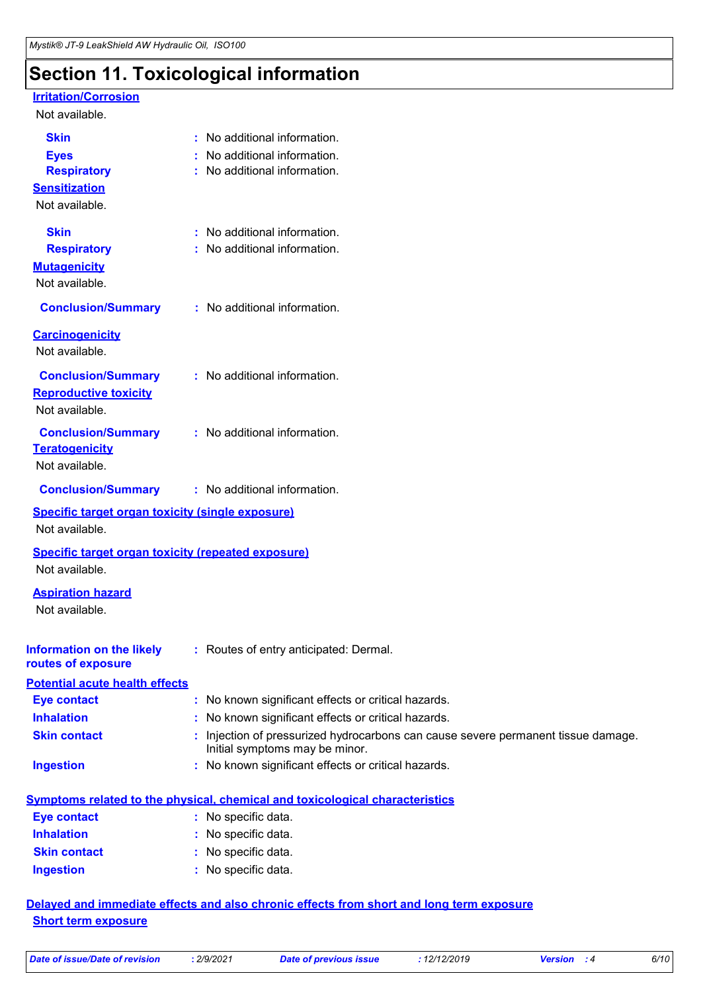# **Section 11. Toxicological information**

#### **Irritation/Corrosion**

#### Not available.

| <b>Skin</b>                                               | : No additional information.                                                                                      |
|-----------------------------------------------------------|-------------------------------------------------------------------------------------------------------------------|
| <b>Eyes</b>                                               | No additional information.                                                                                        |
| <b>Respiratory</b>                                        | No additional information.                                                                                        |
| <b>Sensitization</b>                                      |                                                                                                                   |
| Not available.                                            |                                                                                                                   |
| <b>Skin</b>                                               | No additional information.                                                                                        |
| <b>Respiratory</b>                                        | No additional information.                                                                                        |
| <b>Mutagenicity</b>                                       |                                                                                                                   |
| Not available.                                            |                                                                                                                   |
| <b>Conclusion/Summary</b>                                 | : No additional information.                                                                                      |
| <b>Carcinogenicity</b>                                    |                                                                                                                   |
| Not available.                                            |                                                                                                                   |
| <b>Conclusion/Summary</b>                                 | : No additional information.                                                                                      |
| <b>Reproductive toxicity</b>                              |                                                                                                                   |
| Not available.                                            |                                                                                                                   |
| <b>Conclusion/Summary</b>                                 | : No additional information.                                                                                      |
| <b>Teratogenicity</b>                                     |                                                                                                                   |
| Not available.                                            |                                                                                                                   |
| <b>Conclusion/Summary</b>                                 | : No additional information.                                                                                      |
| <b>Specific target organ toxicity (single exposure)</b>   |                                                                                                                   |
| Not available.                                            |                                                                                                                   |
| <b>Specific target organ toxicity (repeated exposure)</b> |                                                                                                                   |
| Not available.                                            |                                                                                                                   |
| <b>Aspiration hazard</b>                                  |                                                                                                                   |
| Not available.                                            |                                                                                                                   |
|                                                           |                                                                                                                   |
|                                                           | Information on the likely : Routes of entry anticipated: Dermal.                                                  |
| routes of exposure                                        |                                                                                                                   |
| <b>Potential acute health effects</b>                     |                                                                                                                   |
| <b>Eye contact</b>                                        | : No known significant effects or critical hazards.                                                               |
| <b>Inhalation</b>                                         | No known significant effects or critical hazards.                                                                 |
| <b>Skin contact</b>                                       | Injection of pressurized hydrocarbons can cause severe permanent tissue damage.<br>Initial symptoms may be minor. |
| <b>Ingestion</b>                                          | : No known significant effects or critical hazards.                                                               |
|                                                           |                                                                                                                   |
| <b>Eye contact</b>                                        | <b>Symptoms related to the physical, chemical and toxicological characteristics</b><br>: No specific data.        |
| <b>Inhalation</b>                                         | : No specific data.                                                                                               |
|                                                           |                                                                                                                   |

#### **Skin contact** No specific data. **:**

#### **Ingestion** No specific data. **:**

#### **Delayed and immediate effects and also chronic effects from short and long term exposure Short term exposure**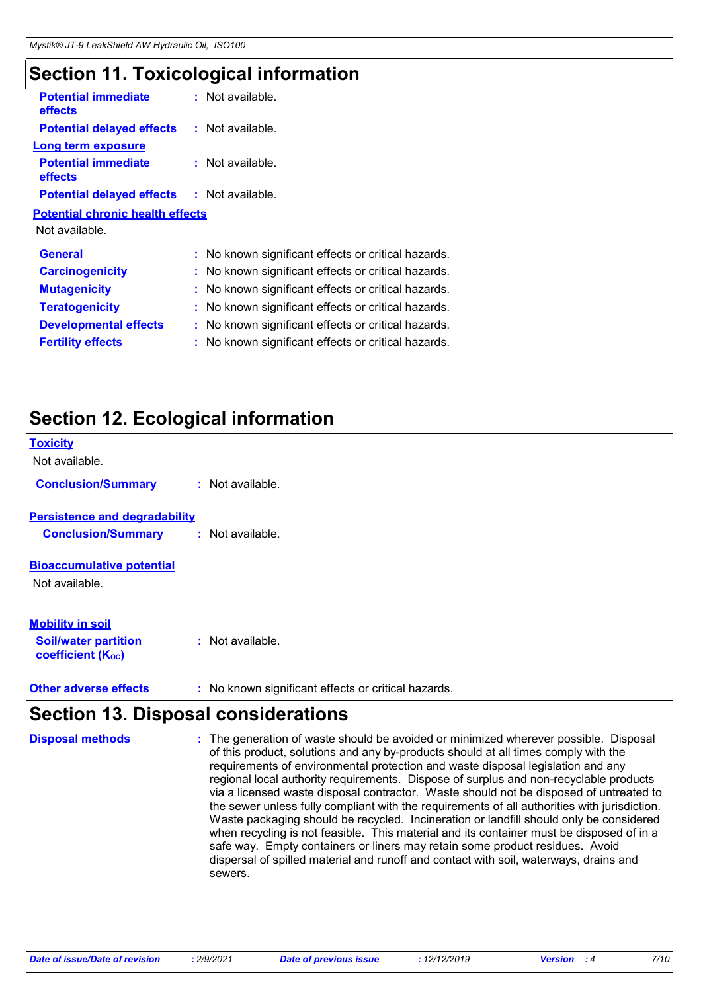# **Section 11. Toxicological information**

| <b>Potential immediate</b><br><b>effects</b>      | : Not available.                                    |
|---------------------------------------------------|-----------------------------------------------------|
| <b>Potential delayed effects</b>                  | : Not available.                                    |
| <b>Long term exposure</b>                         |                                                     |
| <b>Potential immediate</b><br><b>effects</b>      | $:$ Not available.                                  |
| <b>Potential delayed effects : Not available.</b> |                                                     |
| <b>Potential chronic health effects</b>           |                                                     |
| Not available.                                    |                                                     |
| <b>General</b>                                    | : No known significant effects or critical hazards. |
| <b>Carcinogenicity</b>                            | : No known significant effects or critical hazards. |
| <b>Mutagenicity</b>                               | : No known significant effects or critical hazards. |
| <b>Teratogenicity</b>                             | : No known significant effects or critical hazards. |
| <b>Developmental effects</b>                      | No known significant effects or critical hazards.   |
| <b>Fertility effects</b>                          | No known significant effects or critical hazards.   |
|                                                   |                                                     |

# **Section 12. Ecological information**

| <b>Toxicity</b><br>Not available.                                                  |                  |
|------------------------------------------------------------------------------------|------------------|
| <b>Conclusion/Summary</b>                                                          | : Not available. |
| <b>Persistence and degradability</b><br><b>Conclusion/Summary</b>                  | : Not available. |
| <b>Bioaccumulative potential</b><br>Not available.                                 |                  |
| <b>Mobility in soil</b><br><b>Soil/water partition</b><br><b>coefficient (Koc)</b> | : Not available. |

**Other adverse effects** : No known significant effects or critical hazards.

# **Section 13. Disposal considerations**

| <b>Disposal methods</b> | : The generation of waste should be avoided or minimized wherever possible. Disposal<br>of this product, solutions and any by-products should at all times comply with the<br>requirements of environmental protection and waste disposal legislation and any<br>regional local authority requirements. Dispose of surplus and non-recyclable products<br>via a licensed waste disposal contractor. Waste should not be disposed of untreated to<br>the sewer unless fully compliant with the requirements of all authorities with jurisdiction.<br>Waste packaging should be recycled. Incineration or landfill should only be considered<br>when recycling is not feasible. This material and its container must be disposed of in a<br>safe way. Empty containers or liners may retain some product residues. Avoid<br>dispersal of spilled material and runoff and contact with soil, waterways, drains and<br>sewers. |
|-------------------------|----------------------------------------------------------------------------------------------------------------------------------------------------------------------------------------------------------------------------------------------------------------------------------------------------------------------------------------------------------------------------------------------------------------------------------------------------------------------------------------------------------------------------------------------------------------------------------------------------------------------------------------------------------------------------------------------------------------------------------------------------------------------------------------------------------------------------------------------------------------------------------------------------------------------------|
|-------------------------|----------------------------------------------------------------------------------------------------------------------------------------------------------------------------------------------------------------------------------------------------------------------------------------------------------------------------------------------------------------------------------------------------------------------------------------------------------------------------------------------------------------------------------------------------------------------------------------------------------------------------------------------------------------------------------------------------------------------------------------------------------------------------------------------------------------------------------------------------------------------------------------------------------------------------|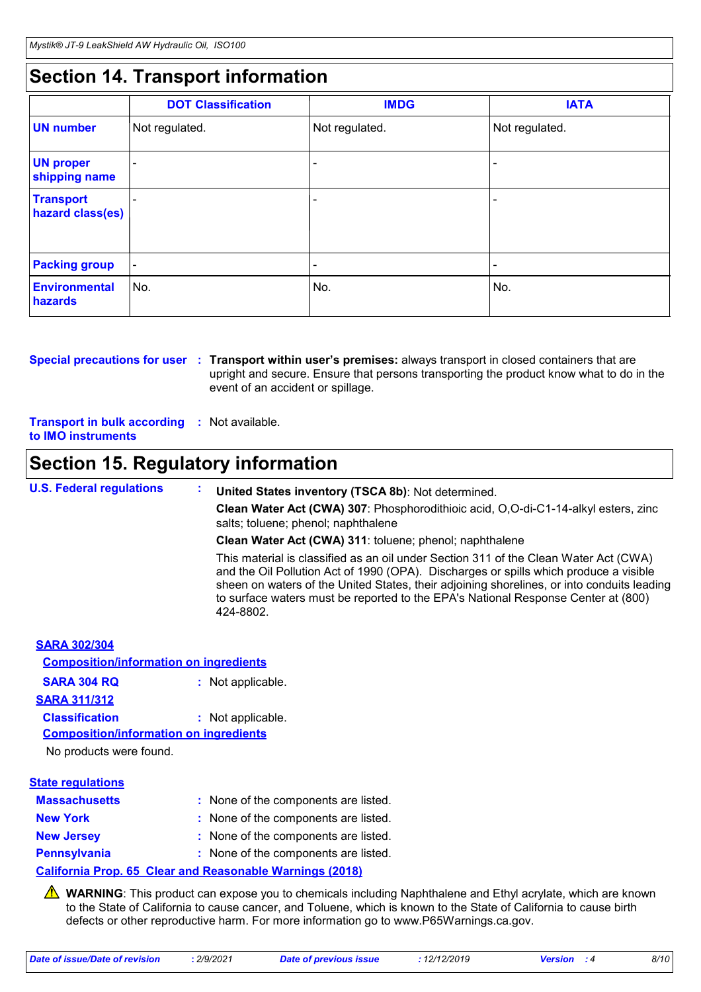# **Section 14. Transport information**

|                                      | <b>DOT Classification</b> | <b>IMDG</b>              | <b>IATA</b>              |
|--------------------------------------|---------------------------|--------------------------|--------------------------|
| <b>UN</b> number                     | Not regulated.            | Not regulated.           | Not regulated.           |
| <b>UN proper</b><br>shipping name    |                           |                          |                          |
| <b>Transport</b><br>hazard class(es) |                           |                          | ٠                        |
| <b>Packing group</b>                 | $\overline{\phantom{a}}$  | $\overline{\phantom{0}}$ | $\overline{\phantom{a}}$ |
| Environmental<br>hazards             | ∣No.                      | No.                      | No.                      |

**Special precautions for user** : Transport within user's premises: always transport in closed containers that are upright and secure. Ensure that persons transporting the product know what to do in the event of an accident or spillage.

**Transport in bulk according :** Not available. **to IMO instruments**

# **Section 15. Regulatory information**

**U.S. Federal regulations : United States inventory (TSCA 8b)**: Not determined. **Clean Water Act (CWA) 307**: Phosphorodithioic acid, O,O-di-C1-14-alkyl esters, zinc salts; toluene; phenol; naphthalene **Clean Water Act (CWA) 311**: toluene; phenol; naphthalene This material is classified as an oil under Section 311 of the Clean Water Act (CWA) and the Oil Pollution Act of 1990 (OPA). Discharges or spills which produce a visible sheen on waters of the United States, their adjoining shorelines, or into conduits leading

|                                               | to surface waters must be reported to the EPA's National Response Center at (800)<br>424-8802. |
|-----------------------------------------------|------------------------------------------------------------------------------------------------|
| <b>SARA 302/304</b>                           |                                                                                                |
| <b>Composition/information on ingredients</b> |                                                                                                |
| <b>SARA 304 RQ</b>                            | : Not applicable.                                                                              |
| <b>SARA 311/312</b>                           |                                                                                                |
| <b>Classification</b>                         | : Not applicable.                                                                              |
| <b>Composition/information on ingredients</b> |                                                                                                |
| No products were found.                       |                                                                                                |
| <b>State regulations</b>                      |                                                                                                |
| <b>Massachusetts</b>                          | : None of the components are listed.                                                           |
| <b>New York</b>                               | : None of the components are listed.                                                           |
| <b>New Jersey</b>                             | : None of the components are listed.                                                           |
| <b>Pennsylvania</b>                           | : None of the components are listed.                                                           |
|                                               | Oalifanida Bush, AP, Olash shal Bassanahla Wandhara (OA40).                                    |

**California Prop. 65 Clear and Reasonable Warnings (2018)**

**A** WARNING: This product can expose you to chemicals including Naphthalene and Ethyl acrylate, which are known to the State of California to cause cancer, and Toluene, which is known to the State of California to cause birth defects or other reproductive harm. For more information go to www.P65Warnings.ca.gov.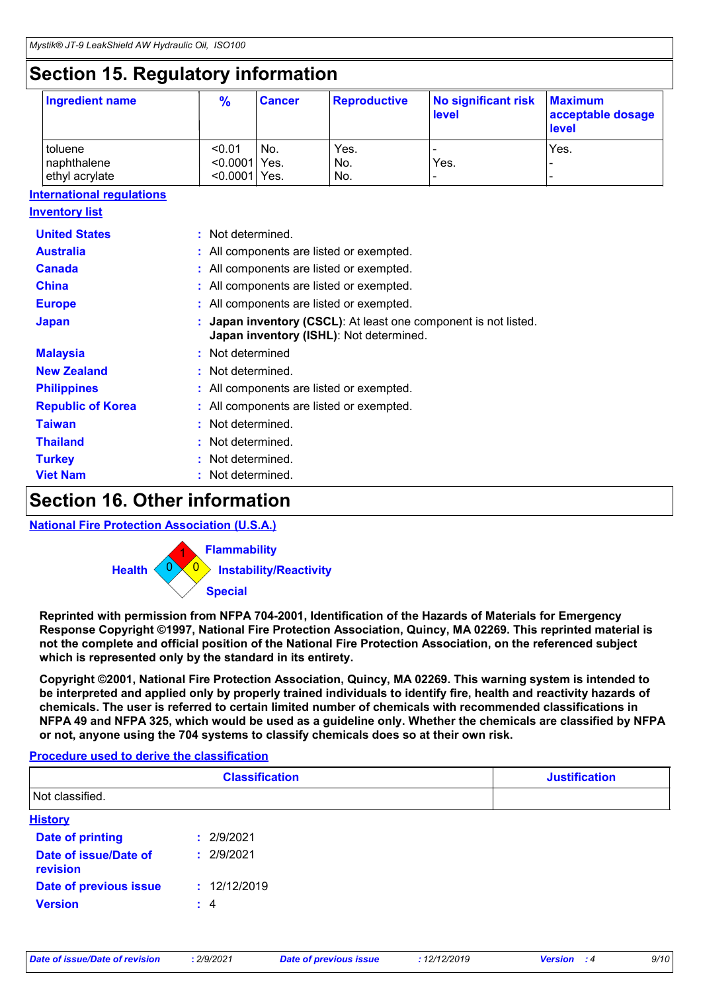# **Section 15. Regulatory information**

| Ingredient name | $\frac{9}{6}$   | <b>Cancer</b> | <b>Reproductive</b> | No significant risk<br>level | <b>Maximum</b><br>acceptable dosage<br>level |
|-----------------|-----------------|---------------|---------------------|------------------------------|----------------------------------------------|
| toluene         | < 0.01          | No.           | Yes.                |                              | Yes.                                         |
| naphthalene     | $< 0.0001$ Yes. |               | No.                 | Yes.                         |                                              |
| ethyl acrylate  | $< 0.0001$ Yes. |               | No.                 | $\overline{\phantom{0}}$     |                                              |

#### **International regulations**

| <b>Inventory list</b>    |                                                                                                                  |
|--------------------------|------------------------------------------------------------------------------------------------------------------|
| <b>United States</b>     | : Not determined.                                                                                                |
| <b>Australia</b>         | : All components are listed or exempted.                                                                         |
| <b>Canada</b>            | : All components are listed or exempted.                                                                         |
| <b>China</b>             | : All components are listed or exempted.                                                                         |
| <b>Europe</b>            | : All components are listed or exempted.                                                                         |
| <b>Japan</b>             | <b>Japan inventory (CSCL)</b> : At least one component is not listed.<br>Japan inventory (ISHL): Not determined. |
| <b>Malaysia</b>          | : Not determined                                                                                                 |
| <b>New Zealand</b>       | : Not determined.                                                                                                |
| <b>Philippines</b>       | : All components are listed or exempted.                                                                         |
| <b>Republic of Korea</b> | : All components are listed or exempted.                                                                         |
| <b>Taiwan</b>            | : Not determined.                                                                                                |
| <b>Thailand</b>          | : Not determined.                                                                                                |
| <b>Turkey</b>            | : Not determined.                                                                                                |
| <b>Viet Nam</b>          | : Not determined.                                                                                                |

### **Section 16. Other information**

#### **National Fire Protection Association (U.S.A.)**



**Reprinted with permission from NFPA 704-2001, Identification of the Hazards of Materials for Emergency Response Copyright ©1997, National Fire Protection Association, Quincy, MA 02269. This reprinted material is not the complete and official position of the National Fire Protection Association, on the referenced subject which is represented only by the standard in its entirety.**

**Copyright ©2001, National Fire Protection Association, Quincy, MA 02269. This warning system is intended to be interpreted and applied only by properly trained individuals to identify fire, health and reactivity hazards of chemicals. The user is referred to certain limited number of chemicals with recommended classifications in NFPA 49 and NFPA 325, which would be used as a guideline only. Whether the chemicals are classified by NFPA or not, anyone using the 704 systems to classify chemicals does so at their own risk.**

#### **Procedure used to derive the classification**

|                                   | <b>Classification</b> | <b>Justification</b> |
|-----------------------------------|-----------------------|----------------------|
| Not classified.                   |                       |                      |
| <b>History</b>                    |                       |                      |
| <b>Date of printing</b>           | : 2/9/2021            |                      |
| Date of issue/Date of<br>revision | : 2/9/2021            |                      |
| Date of previous issue            | : 12/12/2019          |                      |
| <b>Version</b>                    | $\div$ 4              |                      |